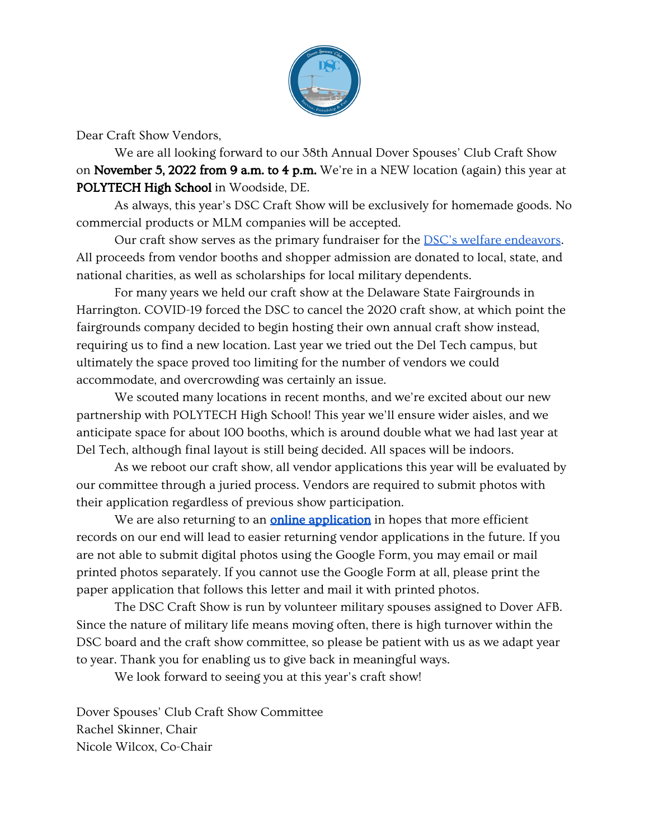

Dear Craft Show Vendors,

We are all looking forward to our 38th Annual Dover Spouses' Club Craft Show on November 5, 2022 from 9 a.m. to 4 p.m. We're in a NEW location (again) this year at POLYTECH High School in Woodside, DE.

As always, this year's DSC Craft Show will be exclusively for homemade goods. No commercial products or MLM companies will be accepted.

Our craft show serves as the primary fundraiser for the **[DSC's welfare endeavors](https://www.doverspousesclub.com/welfare)**. All proceeds from vendor booths and shopper admission are donated to local, state, and national charities, as well as scholarships for local military dependents.

For many years we held our craft show at the Delaware State Fairgrounds in Harrington. COVID-19 forced the DSC to cancel the 2020 craft show, at which point the fairgrounds company decided to begin hosting their own annual craft show instead, requiring us to find a new location. Last year we tried out the Del Tech campus, but ultimately the space proved too limiting for the number of vendors we could accommodate, and overcrowding was certainly an issue.

We scouted many locations in recent months, and we're excited about our new partnership with POLYTECH High School! This year we'll ensure wider aisles, and we anticipate space for about 100 booths, which is around double what we had last year at Del Tech, although final layout is still being decided. All spaces will be indoors.

As we reboot our craft show, all vendor applications this year will be evaluated by our committee through a juried process. Vendors are required to submit photos with their application regardless of previous show participation.

We are also returning to an **[online application](https://forms.gle/t4wDPiRXLzsdKJzQ6)** in hopes that more efficient records on our end will lead to easier returning vendor applications in the future. If you are not able to submit digital photos using the Google Form, you may email or mail printed photos separately. If you cannot use the Google Form at all, please print the paper application that follows this letter and mail it with printed photos.

The DSC Craft Show is run by volunteer military spouses assigned to Dover AFB. Since the nature of military life means moving often, there is high turnover within the DSC board and the craft show committee, so please be patient with us as we adapt year to year. Thank you for enabling us to give back in meaningful ways.

We look forward to seeing you at this year's craft show!

Dover Spouses' Club Craft Show Committee Rachel Skinner, Chair Nicole Wilcox, Co-Chair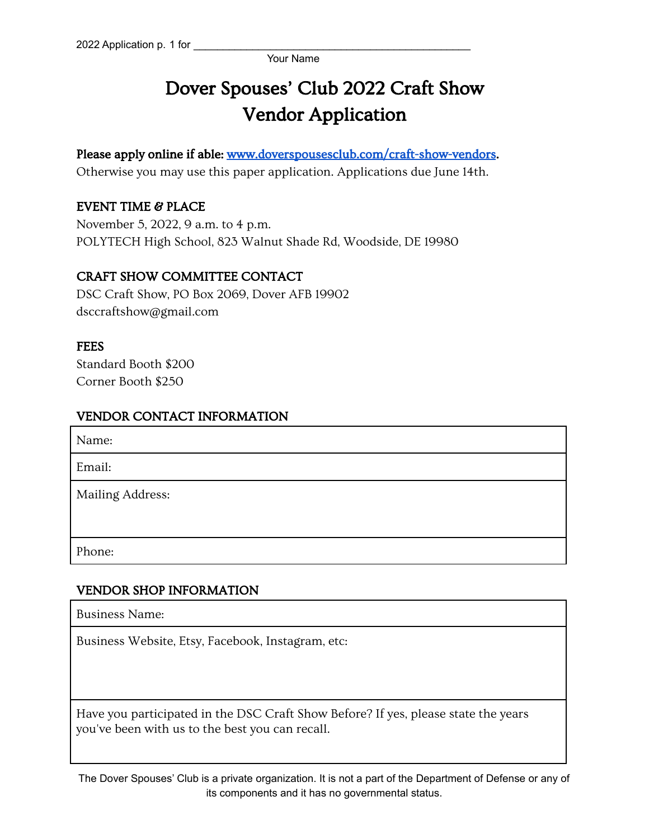# Dover Spouses' Club 2022 Craft Show Vendor Application

Please apply online if able: [www.doverspousesclub.com/craft-show-vendors.](https://www.doverspousesclub.com/craft-show-vendors) Otherwise you may use this paper application. Applications due June 14th.

## EVENT TIME & PLACE

November 5, 2022, 9 a.m. to 4 p.m. POLYTECH High School, 823 Walnut Shade Rd, Woodside, DE 19980

## CRAFT SHOW COMMITTEE CONTACT

DSC Craft Show, PO Box 2069, Dover AFB 19902 dsccraftshow@gmail.com

#### **FEES**

Standard Booth \$200 Corner Booth \$250

## VENDOR CONTACT INFORMATION

| Name:            |
|------------------|
| Email:           |
| Mailing Address: |
| Phone:           |

## VENDOR SHOP INFORMATION

Business Name:

Business Website, Etsy, Facebook, Instagram, etc:

Have you participated in the DSC Craft Show Before? If yes, please state the years you've been with us to the best you can recall.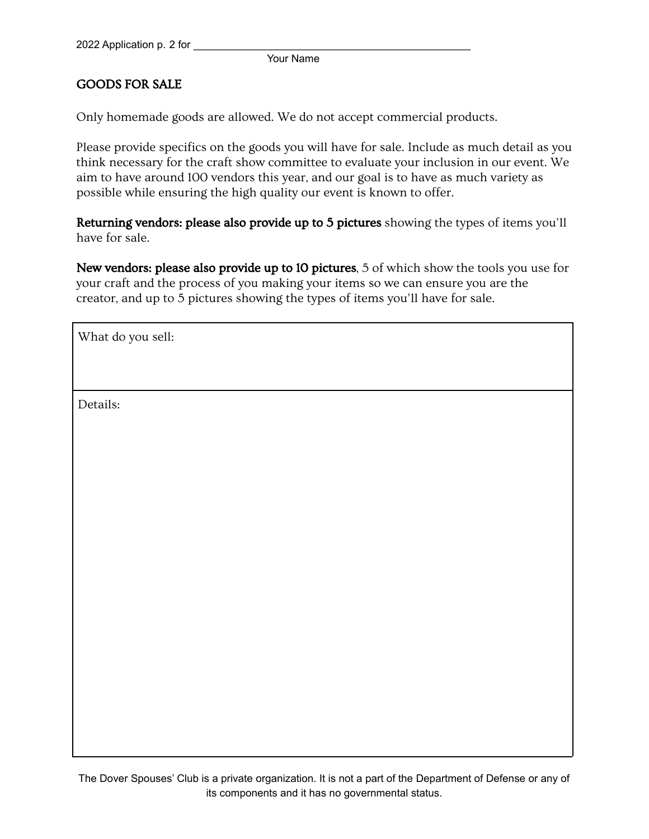## GOODS FOR SALE

Only homemade goods are allowed. We do not accept commercial products.

Please provide specifics on the goods you will have for sale. Include as much detail as you think necessary for the craft show committee to evaluate your inclusion in our event. We aim to have around 100 vendors this year, and our goal is to have as much variety as possible while ensuring the high quality our event is known to offer.

Returning vendors: please also provide up to 5 pictures showing the types of items you'll have for sale.

New vendors: please also provide up to 10 pictures, 5 of which show the tools you use for your craft and the process of you making your items so we can ensure you are the creator, and up to 5 pictures showing the types of items you'll have for sale.

What do you sell:

Details: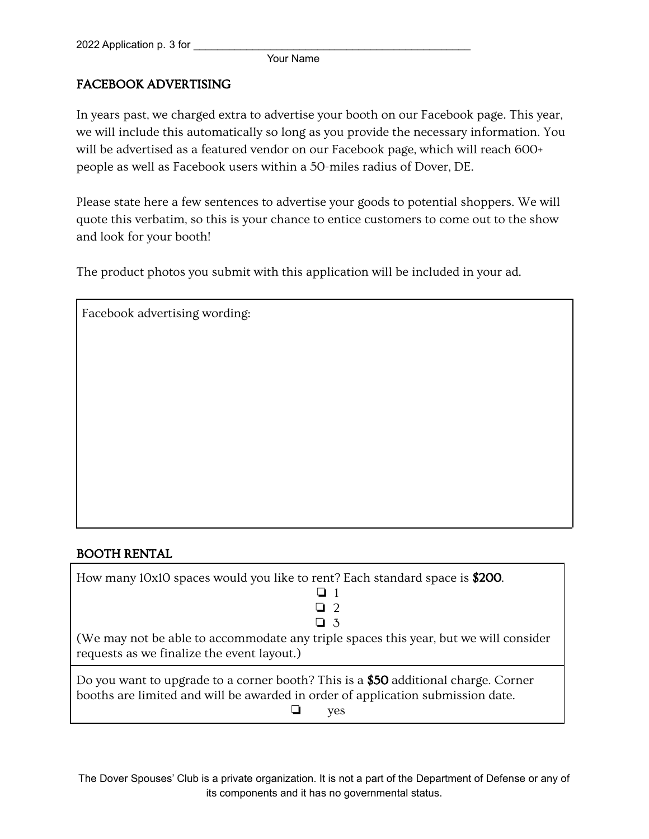## FACEBOOK ADVERTISING

In years past, we charged extra to advertise your booth on our Facebook page. This year, we will include this automatically so long as you provide the necessary information. You will be advertised as a featured vendor on our Facebook page, which will reach 600+ people as well as Facebook users within a 50-miles radius of Dover, DE.

Please state here a few sentences to advertise your goods to potential shoppers. We will quote this verbatim, so this is your chance to entice customers to come out to the show and look for your booth!

The product photos you submit with this application will be included in your ad.

| Facebook advertising wording: |  |  |
|-------------------------------|--|--|
|                               |  |  |
|                               |  |  |
|                               |  |  |
|                               |  |  |
|                               |  |  |
|                               |  |  |
|                               |  |  |
|                               |  |  |
|                               |  |  |
|                               |  |  |

# BOOTH RENTAL

| How many 10x10 spaces would you like to rent? Each standard space is \$200.          |
|--------------------------------------------------------------------------------------|
|                                                                                      |
| 口 2                                                                                  |
| $\Box$ 3                                                                             |
| (We may not be able to accommodate any triple spaces this year, but we will consider |
| requests as we finalize the event layout.)                                           |

Do you want to upgrade to a corner booth? This is a \$50 additional charge. Corner booths are limited and will be awarded in order of application submission date. ❏ yes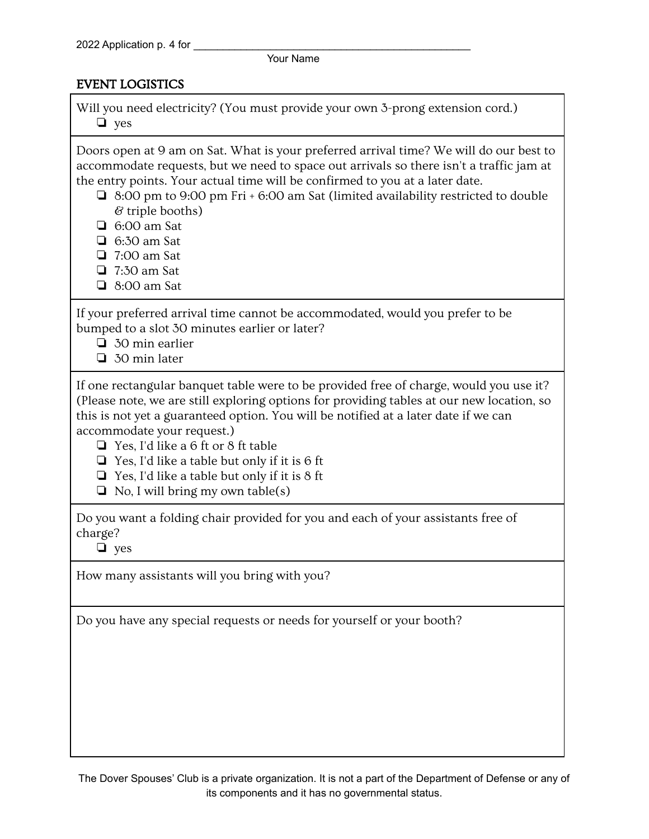## EVENT LOGISTICS

Will you need electricity? (You must provide your own 3-prong extension cord.) ❏ yes

Doors open at 9 am on Sat. What is your preferred arrival time? We will do our best to accommodate requests, but we need to space out arrivals so there isn't a traffic jam at the entry points. Your actual time will be confirmed to you at a later date.

- ❏ 8:00 pm to 9:00 pm Fri + 6:00 am Sat (limited availability restricted to double & triple booths)
- ❏ 6:00 am Sat
- ❏ 6:30 am Sat
- ❏ 7:00 am Sat
- ❏ 7:30 am Sat
- ❏ 8:00 am Sat

If your preferred arrival time cannot be accommodated, would you prefer to be bumped to a slot 30 minutes earlier or later?

- ❏ 30 min earlier
- ❏ 30 min later

If one rectangular banquet table were to be provided free of charge, would you use it? (Please note, we are still exploring options for providing tables at our new location, so this is not yet a guaranteed option. You will be notified at a later date if we can accommodate your request.)

- ❏ Yes, I'd like a 6 ft or 8 ft table
- ❏ Yes, I'd like a table but only if it is 6 ft
- ❏ Yes, I'd like a table but only if it is 8 ft
- $\Box$  No, I will bring my own table(s)

Do you want a folding chair provided for you and each of your assistants free of charge?

❏ yes

How many assistants will you bring with you?

Do you have any special requests or needs for yourself or your booth?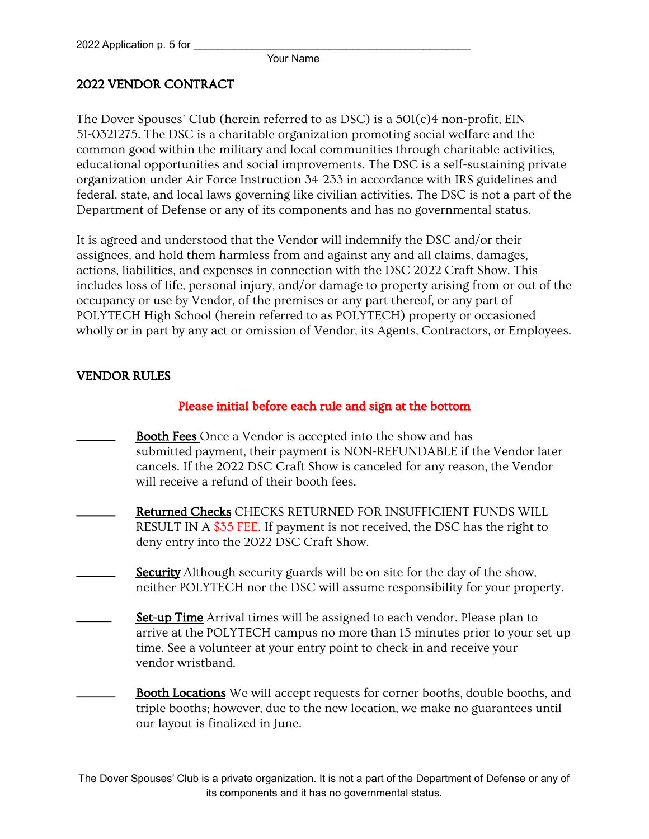# 2022 VENDOR CONTRACT

The Dover Spouses' Club (herein referred to as DSC) is a 501(c)4 non-profit, EIN 51-0321275. The DSC is a charitable organization promoting social welfare and the common good within the military and local communities through charitable activities, educational opportunities and social improvements. The DSC is a self-sustaining private organization under Air Force Instruction 34-233 in accordance with IRS guidelines and federal, state, and local laws governing like civilian activities. The DSC is not a part of the Department of Defense or any of its components and has no governmental status.

It is agreed and understood that the Vendor will indemnify the DSC and/or their assignees, and hold them harmless from and against any and all claims, damages, actions, liabilities, and expenses in connection with the DSC 2022 Craft Show. This includes loss of life, personal injury, and/or damage to property arising from or out of the occupancy or use by Vendor, of the premises or any part thereof, or any part of POLYTECH High School (herein referred to as POLYTECH) property or occasioned wholly or in part by any act or omission of Vendor, its Agents, Contractors, or Employees.

## VENDOR RULES

## Please initial before each rule and sign at the bottom

- Booth Fees Once a Vendor is accepted into the show and has submitted payment, their payment is NON-REFUNDABLE if the Vendor later cancels. If the 2022 DSC Craft Show is canceled for any reason, the Vendor will receive a refund of their booth fees.
- Returned Checks CHECKS RETURNED FOR INSUFFICIENT FUNDS WILL RESULT IN A \$35 FEE. If payment is not received, the DSC has the right to deny entry into the 2022 DSC Craft Show.
	- Security Although security guards will be on site for the day of the show, neither POLYTECH nor the DSC will assume responsibility for your property.
- Set-up Time Arrival times will be assigned to each vendor. Please plan to arrive at the POLYTECH campus no more than 15 minutes prior to your set-up time. See a volunteer at your entry point to check-in and receive your vendor wristband.
- Booth Locations We will accept requests for corner booths, double booths, and triple booths; however, due to the new location, we make no guarantees until our layout is finalized in June.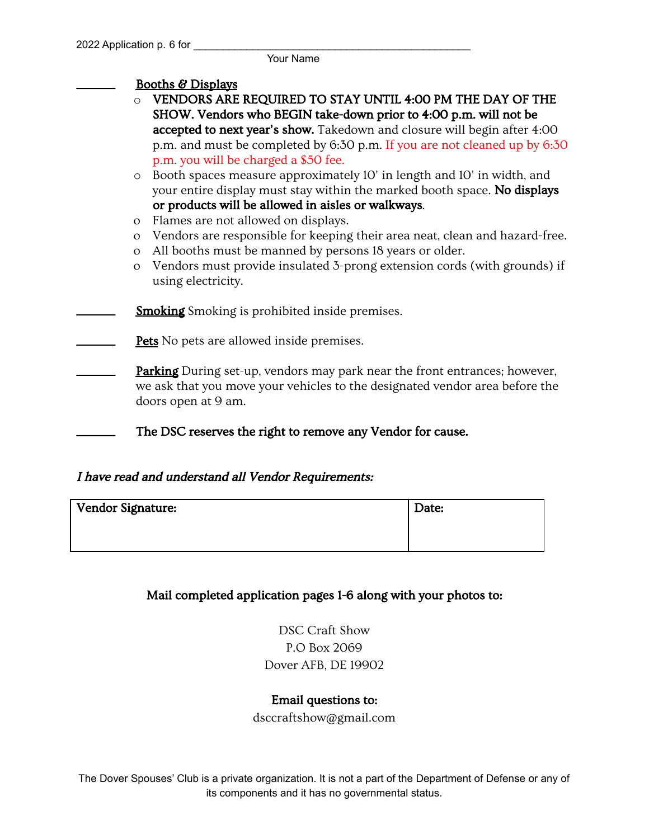#### Booths & Displays

- o VENDORS ARE REQUIRED TO STAY UNTIL 4:00 PM THE DAY OF THE SHOW. Vendors who BEGIN take-down prior to 4:00 p.m. will not be accepted to next year's show. Takedown and closure will begin after 4:00 p.m. and must be completed by 6:30 p.m. If you are not cleaned up by 6:30 p.m. you will be charged a \$50 fee.
- o Booth spaces measure approximately 10' in length and 10' in width, and your entire display must stay within the marked booth space. No displays or products will be allowed in aisles or walkways.
- o Flames are not allowed on displays.
- o Vendors are responsible for keeping their area neat, clean and hazard-free.
- o All booths must be manned by persons 18 years or older.
- o Vendors must provide insulated 3-prong extension cords (with grounds) if using electricity.
- **Smoking** Smoking is prohibited inside premises.
- Pets No pets are allowed inside premises.
- **Parking** During set-up, vendors may park near the front entrances; however, we ask that you move your vehicles to the designated vendor area before the doors open at 9 am.
	- The DSC reserves the right to remove any Vendor for cause.

## I have read and understand all Vendor Requirements:

| Vendor Signature: | Date: |
|-------------------|-------|
|                   |       |
|                   |       |

## Mail completed application pages 1-6 along with your photos to:

DSC Craft Show P.O Box 2069 Dover AFB, DE 19902

#### Email questions to:

dsccraftshow@gmail.com